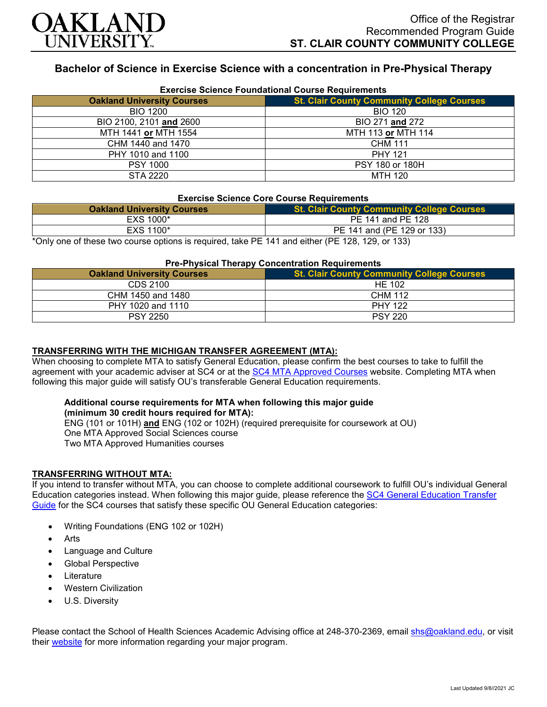

# **Bachelor of Science in Exercise Science with a concentration in Pre-Physical Therapy**

| <b>Exercise Science Foundational Course Requirements</b> |                                                   |
|----------------------------------------------------------|---------------------------------------------------|
| <b>Oakland University Courses</b>                        | <b>St. Clair County Community College Courses</b> |
| <b>BIO 1200</b>                                          | <b>BIO 120</b>                                    |
| BIO 2100, 2101 and 2600                                  | BIO 271 and 272                                   |
| MTH 1441 or MTH 1554                                     | MTH 113 or MTH 114                                |
| CHM 1440 and 1470                                        | <b>CHM 111</b>                                    |
| PHY 1010 and 1100                                        | <b>PHY 121</b>                                    |
| <b>PSY 1000</b>                                          | PSY 180 or 180H                                   |
| STA 2220                                                 | <b>MTH 120</b>                                    |

#### **Exercise Science Foundational Course Requirements**

### **Exercise Science Core Course Requirements**

| <b>Oakland University Courses</b>                                                                    | <b>St. Clair County Community College Courses</b> |
|------------------------------------------------------------------------------------------------------|---------------------------------------------------|
| EXS 1000*                                                                                            | PE 141 and PE 128                                 |
| EXS 1100*                                                                                            | PE 141 and (PE 129 or 133)                        |
| *Only and of these two course options is required, take $DE$ 141 and either ( $DE$ 128, 129, or 133) |                                                   |

\*Only one of these two course options is required, take PE 141 and either (PE 128, 129, or 133)

### **Pre-Physical Therapy Concentration Requirements**

| <b>Oakland University Courses</b> | <b>St. Clair County Community College Courses</b> |
|-----------------------------------|---------------------------------------------------|
| CDS 2100                          | HE 102                                            |
| CHM 1450 and 1480                 | <b>CHM 112</b>                                    |
| PHY 1020 and 1110                 | <b>PHY 122</b>                                    |
| <b>PSY 2250</b>                   | <b>PSY 220</b>                                    |

## **TRANSFERRING WITH THE MICHIGAN TRANSFER AGREEMENT (MTA):**

When choosing to complete MTA to satisfy General Education, please confirm the best courses to take to fulfill the agreement with your academic adviser at SC4 or at the [SC4 MTA Approved Courses](https://sc4.edu/admissions/transferring-after-sc4/michigan-transfer-agreement/) website. Completing MTA when following this major guide will satisfy OU's transferable General Education requirements.

#### **Additional course requirements for MTA when following this major guide (minimum 30 credit hours required for MTA):**

ENG (101 or 101H) **and** ENG (102 or 102H) (required prerequisite for coursework at OU) One MTA Approved Social Sciences course Two MTA Approved Humanities courses

### **TRANSFERRING WITHOUT MTA:**

If you intend to transfer without MTA, you can choose to complete additional coursework to fulfill OU's individual General Education categories instead. When following this major guide, please reference the [SC4 General Education Transfer](https://www.oakland.edu/Assets/Oakland/program-guides/st-clair-county-community-college/university-general-education-requirements/SC4%20Gen%20Ed.pdf)  [Guide](https://www.oakland.edu/Assets/Oakland/program-guides/st-clair-county-community-college/university-general-education-requirements/SC4%20Gen%20Ed.pdf) for the SC4 courses that satisfy these specific OU General Education categories:

- Writing Foundations (ENG 102 or 102H)
- **Arts**
- Language and Culture
- Global Perspective
- **Literature**
- Western Civilization
- U.S. Diversity

Please contact the School of Health Sciences Academic Advising office at 248-370-2369, email [shs@oakland.edu,](mailto:shs@oakland.edu) or visit their [website](http://www.oakland.edu/shs/advising) for more information regarding your major program.